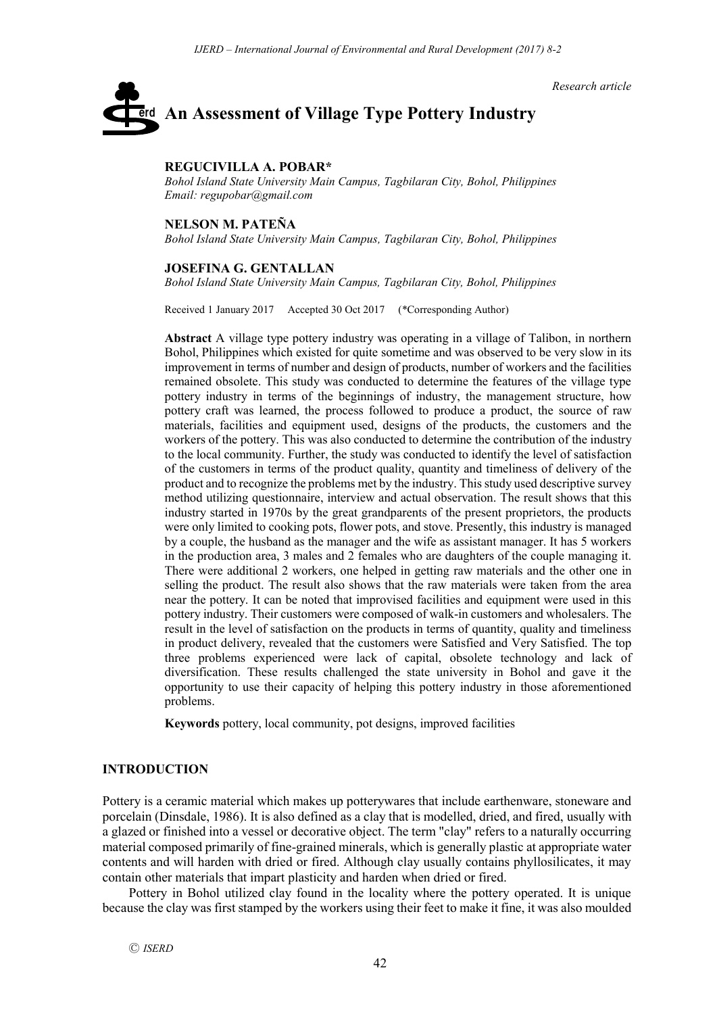*Research article*

# **An Assessment of Village Type Pottery Industry** erd

## **REGUCIVILLA A. POBAR\***

*Bohol Island State University Main Campus, Tagbilaran City, Bohol, Philippines Email: regupobar@gmail.com*

#### **NELSON M. PATEÑA**

*Bohol Island State University Main Campus, Tagbilaran City, Bohol, Philippines*

#### **JOSEFINA G. GENTALLAN**

*Bohol Island State University Main Campus, Tagbilaran City, Bohol, Philippines*

Received 1 January 2017 Accepted 30 Oct 2017 (\*Corresponding Author)

**Abstract** A village type pottery industry was operating in a village of Talibon, in northern Bohol, Philippines which existed for quite sometime and was observed to be very slow in its improvement in terms of number and design of products, number of workers and the facilities remained obsolete. This study was conducted to determine the features of the village type pottery industry in terms of the beginnings of industry, the management structure, how pottery craft was learned, the process followed to produce a product, the source of raw materials, facilities and equipment used, designs of the products, the customers and the workers of the pottery. This was also conducted to determine the contribution of the industry to the local community. Further, the study was conducted to identify the level of satisfaction of the customers in terms of the product quality, quantity and timeliness of delivery of the product and to recognize the problems met by the industry. This study used descriptive survey method utilizing questionnaire, interview and actual observation. The result shows that this industry started in 1970s by the great grandparents of the present proprietors, the products were only limited to cooking pots, flower pots, and stove. Presently, this industry is managed by a couple, the husband as the manager and the wife as assistant manager. It has 5 workers in the production area, 3 males and 2 females who are daughters of the couple managing it. There were additional 2 workers, one helped in getting raw materials and the other one in selling the product. The result also shows that the raw materials were taken from the area near the pottery. It can be noted that improvised facilities and equipment were used in this pottery industry. Their customers were composed of walk-in customers and wholesalers. The result in the level of satisfaction on the products in terms of quantity, quality and timeliness in product delivery, revealed that the customers were Satisfied and Very Satisfied. The top three problems experienced were lack of capital, obsolete technology and lack of diversification. These results challenged the state university in Bohol and gave it the opportunity to use their capacity of helping this pottery industry in those aforementioned problems.

**Keywords** pottery, local community, pot designs, improved facilities

## **INTRODUCTION**

Pottery is a ceramic material which makes up potterywares that include earthenware, stoneware and porcelain (Dinsdale, 1986). It is also defined as a clay that is modelled, dried, and fired, usually with a glazed or finished into a vessel or decorative object. The term "clay" refers to a naturally occurring material composed primarily of fine-grained minerals, which is generally plastic at appropriate water contents and will harden with dried or fired. Although clay usually contains phyllosilicates, it may contain other materials that impart plasticity and harden when dried or fired.

Pottery in Bohol utilized clay found in the locality where the pottery operated. It is unique because the clay was first stamped by the workers using their feet to make it fine, it was also moulded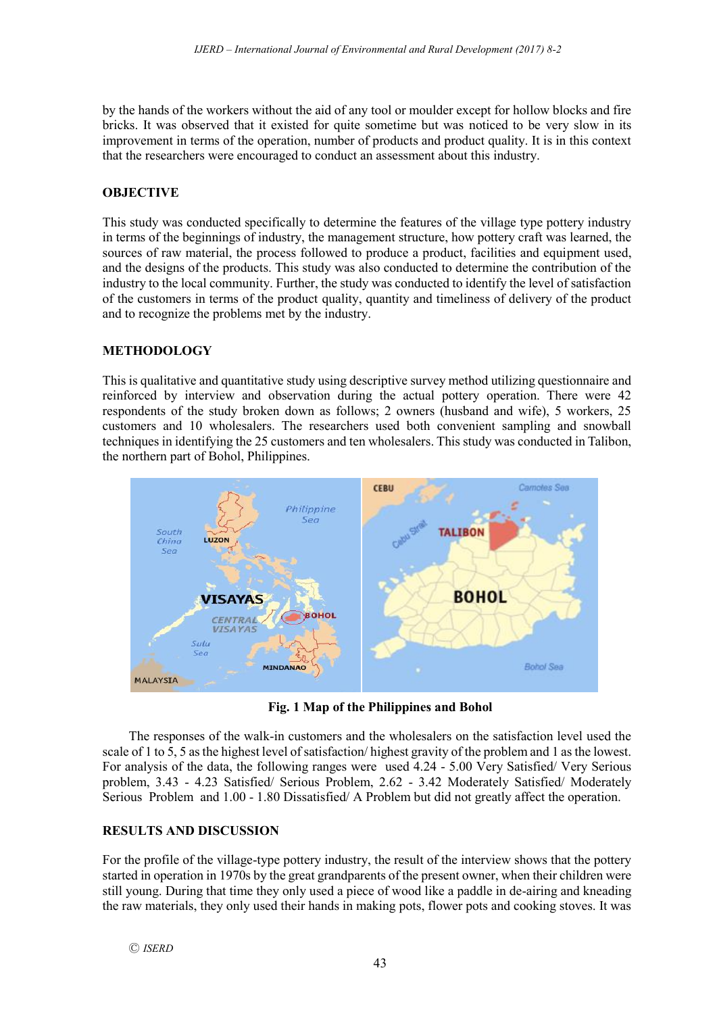by the hands of the workers without the aid of any tool or moulder except for hollow blocks and fire bricks. It was observed that it existed for quite sometime but was noticed to be very slow in its improvement in terms of the operation, number of products and product quality. It is in this context that the researchers were encouraged to conduct an assessment about this industry.

## **OBJECTIVE**

This study was conducted specifically to determine the features of the village type pottery industry in terms of the beginnings of industry, the management structure, how pottery craft was learned, the sources of raw material, the process followed to produce a product, facilities and equipment used, and the designs of the products. This study was also conducted to determine the contribution of the industry to the local community. Further, the study was conducted to identify the level of satisfaction of the customers in terms of the product quality, quantity and timeliness of delivery of the product and to recognize the problems met by the industry.

# **METHODOLOGY**

This is qualitative and quantitative study using descriptive survey method utilizing questionnaire and reinforced by interview and observation during the actual pottery operation. There were 42 respondents of the study broken down as follows; 2 owners (husband and wife), 5 workers, 25 customers and 10 wholesalers. The researchers used both convenient sampling and snowball techniques in identifying the 25 customers and ten wholesalers. This study was conducted in Talibon, the northern part of Bohol, Philippines.



**Fig. 1 Map of the Philippines and Bohol**

The responses of the walk-in customers and the wholesalers on the satisfaction level used the scale of 1 to 5, 5 as the highest level of satisfaction/ highest gravity of the problem and 1 as the lowest. For analysis of the data, the following ranges were used 4.24 - 5.00 Very Satisfied/ Very Serious problem, 3.43 - 4.23 Satisfied/ Serious Problem, 2.62 - 3.42 Moderately Satisfied/ Moderately Serious Problem and 1.00 - 1.80 Dissatisfied/ A Problem but did not greatly affect the operation.

# **RESULTS AND DISCUSSION**

For the profile of the village-type pottery industry, the result of the interview shows that the pottery started in operation in 1970s by the great grandparents of the present owner, when their children were still young. During that time they only used a piece of wood like a paddle in de-airing and kneading the raw materials, they only used their hands in making pots, flower pots and cooking stoves. It was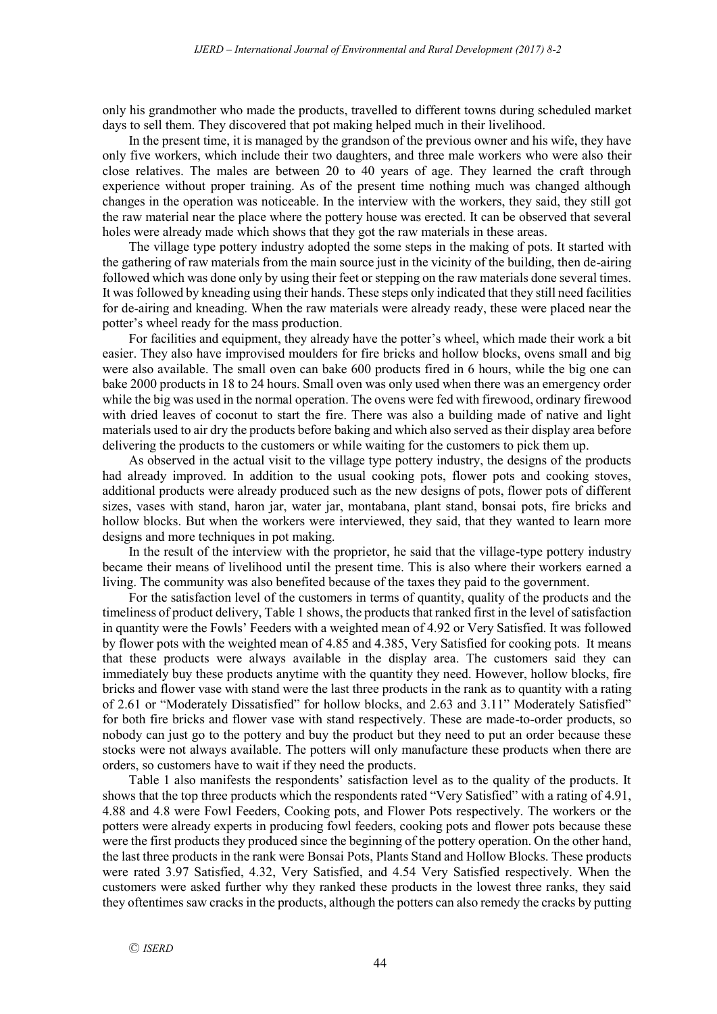only his grandmother who made the products, travelled to different towns during scheduled market days to sell them. They discovered that pot making helped much in their livelihood.

In the present time, it is managed by the grandson of the previous owner and his wife, they have only five workers, which include their two daughters, and three male workers who were also their close relatives. The males are between 20 to 40 years of age. They learned the craft through experience without proper training. As of the present time nothing much was changed although changes in the operation was noticeable. In the interview with the workers, they said, they still got the raw material near the place where the pottery house was erected. It can be observed that several holes were already made which shows that they got the raw materials in these areas.

The village type pottery industry adopted the some steps in the making of pots. It started with the gathering of raw materials from the main source just in the vicinity of the building, then de-airing followed which was done only by using their feet or stepping on the raw materials done several times. It was followed by kneading using their hands. These steps only indicated that they still need facilities for de-airing and kneading. When the raw materials were already ready, these were placed near the potter's wheel ready for the mass production.

For facilities and equipment, they already have the potter's wheel, which made their work a bit easier. They also have improvised moulders for fire bricks and hollow blocks, ovens small and big were also available. The small oven can bake 600 products fired in 6 hours, while the big one can bake 2000 products in 18 to 24 hours. Small oven was only used when there was an emergency order while the big was used in the normal operation. The ovens were fed with firewood, ordinary firewood with dried leaves of coconut to start the fire. There was also a building made of native and light materials used to air dry the products before baking and which also served as their display area before delivering the products to the customers or while waiting for the customers to pick them up.

As observed in the actual visit to the village type pottery industry, the designs of the products had already improved. In addition to the usual cooking pots, flower pots and cooking stoves, additional products were already produced such as the new designs of pots, flower pots of different sizes, vases with stand, haron jar, water jar, montabana, plant stand, bonsai pots, fire bricks and hollow blocks. But when the workers were interviewed, they said, that they wanted to learn more designs and more techniques in pot making.

In the result of the interview with the proprietor, he said that the village-type pottery industry became their means of livelihood until the present time. This is also where their workers earned a living. The community was also benefited because of the taxes they paid to the government.

For the satisfaction level of the customers in terms of quantity, quality of the products and the timeliness of product delivery, Table 1 shows, the products that ranked first in the level of satisfaction in quantity were the Fowls' Feeders with a weighted mean of 4.92 or Very Satisfied. It was followed by flower pots with the weighted mean of 4.85 and 4.385, Very Satisfied for cooking pots. It means that these products were always available in the display area. The customers said they can immediately buy these products anytime with the quantity they need. However, hollow blocks, fire bricks and flower vase with stand were the last three products in the rank as to quantity with a rating of 2.61 or "Moderately Dissatisfied" for hollow blocks, and 2.63 and 3.11" Moderately Satisfied" for both fire bricks and flower vase with stand respectively. These are made-to-order products, so nobody can just go to the pottery and buy the product but they need to put an order because these stocks were not always available. The potters will only manufacture these products when there are orders, so customers have to wait if they need the products.

Table 1 also manifests the respondents' satisfaction level as to the quality of the products. It shows that the top three products which the respondents rated "Very Satisfied" with a rating of 4.91, 4.88 and 4.8 were Fowl Feeders, Cooking pots, and Flower Pots respectively. The workers or the potters were already experts in producing fowl feeders, cooking pots and flower pots because these were the first products they produced since the beginning of the pottery operation. On the other hand, the last three products in the rank were Bonsai Pots, Plants Stand and Hollow Blocks. These products were rated 3.97 Satisfied, 4.32, Very Satisfied, and 4.54 Very Satisfied respectively. When the customers were asked further why they ranked these products in the lowest three ranks, they said they oftentimes saw cracks in the products, although the potters can also remedy the cracks by putting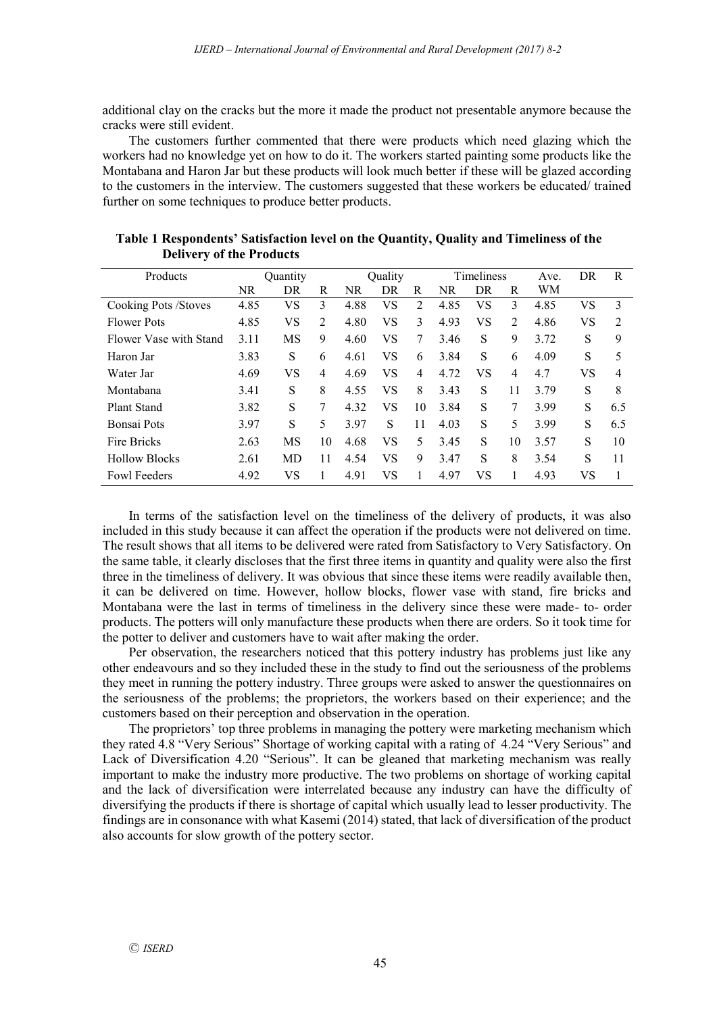additional clay on the cracks but the more it made the product not presentable anymore because the cracks were still evident.

The customers further commented that there were products which need glazing which the workers had no knowledge yet on how to do it. The workers started painting some products like the Montabana and Haron Jar but these products will look much better if these will be glazed according to the customers in the interview. The customers suggested that these workers be educated/ trained further on some techniques to produce better products.

| Products               | Quantity  |    |    | Quality |    |    | Timeliness |    |                | Ave. | DR | R              |
|------------------------|-----------|----|----|---------|----|----|------------|----|----------------|------|----|----------------|
|                        | <b>NR</b> | DR | R  | NR      | DR | R  | NR         | DR | R              | WM   |    |                |
| Cooking Pots / Stoves  | 4.85      | VS | 3  | 4.88    | VS | 2  | 4.85       | VS | 3              | 4.85 | VS | 3              |
| <b>Flower Pots</b>     | 4.85      | VS | 2  | 4.80    | VS | 3  | 4.93       | VS | 2              | 4.86 | VS | $\overline{2}$ |
| Flower Vase with Stand | 3.11      | MS | 9  | 4.60    | VS | 7  | 3.46       | S  | 9              | 3.72 | S  | 9              |
| Haron Jar              | 3.83      | S  | 6  | 4.61    | VS | 6  | 3.84       | S  | 6              | 4.09 | S  | 5              |
| Water Jar              | 4.69      | VS | 4  | 4.69    | VS | 4  | 4.72       | VS | $\overline{4}$ | 4.7  | VS | $\overline{4}$ |
| Montabana              | 3.41      | S  | 8  | 4.55    | VS | 8  | 3.43       | S  | 11             | 3.79 | S  | 8              |
| <b>Plant Stand</b>     | 3.82      | S  | 7  | 4.32    | VS | 10 | 3.84       | S  | 7              | 3.99 | S  | 6.5            |
| Bonsai Pots            | 3.97      | S  | 5  | 3.97    | S  | 11 | 4.03       | S  | 5              | 3.99 | S  | 6.5            |
| Fire Bricks            | 2.63      | MS | 10 | 4.68    | VS | 5  | 3.45       | S  | 10             | 3.57 | S  | 10             |
| <b>Hollow Blocks</b>   | 2.61      | MD | 11 | 4.54    | VS | 9  | 3.47       | S  | 8              | 3.54 | S  | 11             |
| <b>Fowl Feeders</b>    | 4.92      | VS |    | 4.91    | VS |    | 4.97       | VS |                | 4.93 | VS |                |

**Table 1 Respondents' Satisfaction level on the Quantity, Quality and Timeliness of the Delivery of the Products**

In terms of the satisfaction level on the timeliness of the delivery of products, it was also included in this study because it can affect the operation if the products were not delivered on time. The result shows that all items to be delivered were rated from Satisfactory to Very Satisfactory. On the same table, it clearly discloses that the first three items in quantity and quality were also the first three in the timeliness of delivery. It was obvious that since these items were readily available then, it can be delivered on time. However, hollow blocks, flower vase with stand, fire bricks and Montabana were the last in terms of timeliness in the delivery since these were made- to- order products. The potters will only manufacture these products when there are orders. So it took time for the potter to deliver and customers have to wait after making the order.

Per observation, the researchers noticed that this pottery industry has problems just like any other endeavours and so they included these in the study to find out the seriousness of the problems they meet in running the pottery industry. Three groups were asked to answer the questionnaires on the seriousness of the problems; the proprietors, the workers based on their experience; and the customers based on their perception and observation in the operation.

The proprietors' top three problems in managing the pottery were marketing mechanism which they rated 4.8 "Very Serious" Shortage of working capital with a rating of 4.24 "Very Serious" and Lack of Diversification 4.20 "Serious". It can be gleaned that marketing mechanism was really important to make the industry more productive. The two problems on shortage of working capital and the lack of diversification were interrelated because any industry can have the difficulty of diversifying the products if there is shortage of capital which usually lead to lesser productivity. The findings are in consonance with what Kasemi (2014) stated, that lack of diversification of the product also accounts for slow growth of the pottery sector.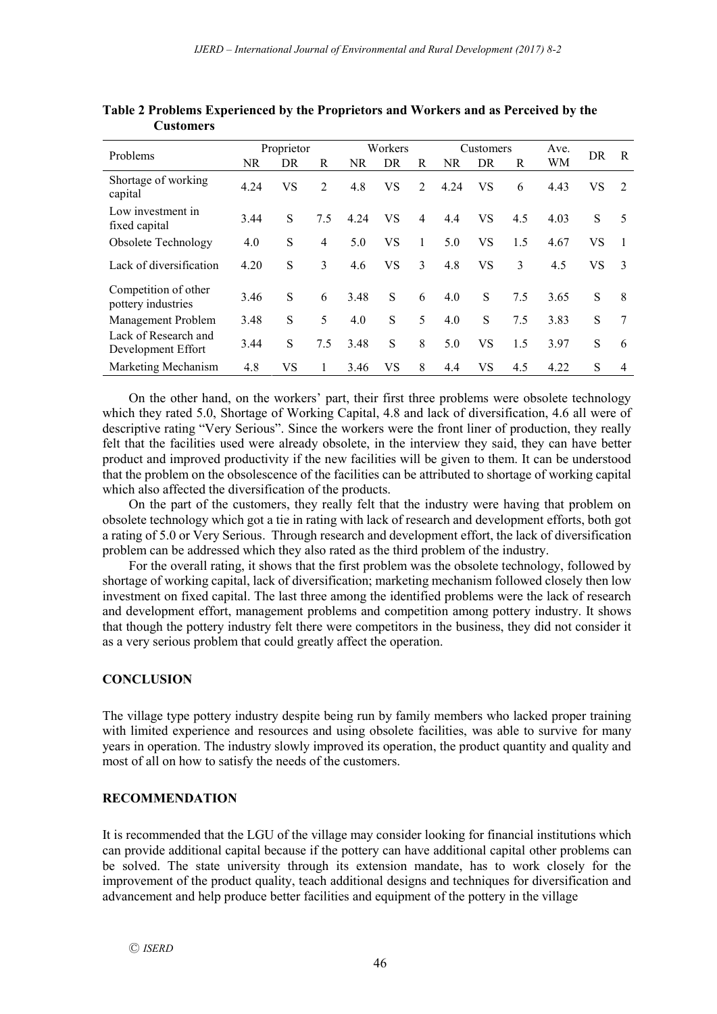| Problems                                   | Proprietor |    |                | Workers   |           |                | Customers |           |     | Ave. |    |               |
|--------------------------------------------|------------|----|----------------|-----------|-----------|----------------|-----------|-----------|-----|------|----|---------------|
|                                            | <b>NR</b>  | DR | R              | <b>NR</b> | DR        | R              | NR        | DR        | R   | WМ   | DR | R             |
| Shortage of working<br>capital             | 4.24       | VS | $\overline{2}$ | 4.8       | VS        | $\overline{2}$ | 4.24      | VS        | 6   | 4.43 | VS | 2             |
| Low investment in<br>fixed capital         | 3.44       | S  | 7.5            | 4.24      | <b>VS</b> | 4              | 4.4       | <b>VS</b> | 4.5 | 4.03 | S  | 5             |
| Obsolete Technology                        | 4.0        | S  | 4              | 5.0       | VS        | 1              | 5.0       | VS        | 1.5 | 4.67 | VS |               |
| Lack of diversification                    | 4.20       | S  | 3              | 4.6       | VS        | 3              | 4.8       | VS        | 3   | 4.5  | VS | $\mathcal{E}$ |
| Competition of other<br>pottery industries | 3.46       | S  | 6              | 3.48      | S         | 6              | 4.0       | S         | 7.5 | 3.65 | S  | 8             |
| Management Problem                         | 3.48       | S  | 5              | 4.0       | S         | 5              | 4.0       | S         | 7.5 | 3.83 | S  | 7             |
| Lack of Research and<br>Development Effort | 3.44       | S  | 7.5            | 3.48      | S         | 8              | 5.0       | <b>VS</b> | 1.5 | 3.97 | S  | 6             |
| Marketing Mechanism                        | 4.8        | VS |                | 3.46      | VS        | 8              | 4.4       | VS        | 4.5 | 4.22 | S  | 4             |

**Table 2 Problems Experienced by the Proprietors and Workers and as Perceived by the Customers**

On the other hand, on the workers' part, their first three problems were obsolete technology which they rated 5.0, Shortage of Working Capital, 4.8 and lack of diversification, 4.6 all were of descriptive rating "Very Serious". Since the workers were the front liner of production, they really felt that the facilities used were already obsolete, in the interview they said, they can have better product and improved productivity if the new facilities will be given to them. It can be understood that the problem on the obsolescence of the facilities can be attributed to shortage of working capital which also affected the diversification of the products.

On the part of the customers, they really felt that the industry were having that problem on obsolete technology which got a tie in rating with lack of research and development efforts, both got a rating of 5.0 or Very Serious. Through research and development effort, the lack of diversification problem can be addressed which they also rated as the third problem of the industry.

For the overall rating, it shows that the first problem was the obsolete technology, followed by shortage of working capital, lack of diversification; marketing mechanism followed closely then low investment on fixed capital. The last three among the identified problems were the lack of research and development effort, management problems and competition among pottery industry. It shows that though the pottery industry felt there were competitors in the business, they did not consider it as a very serious problem that could greatly affect the operation.

## **CONCLUSION**

The village type pottery industry despite being run by family members who lacked proper training with limited experience and resources and using obsolete facilities, was able to survive for many years in operation. The industry slowly improved its operation, the product quantity and quality and most of all on how to satisfy the needs of the customers.

## **RECOMMENDATION**

It is recommended that the LGU of the village may consider looking for financial institutions which can provide additional capital because if the pottery can have additional capital other problems can be solved. The state university through its extension mandate, has to work closely for the improvement of the product quality, teach additional designs and techniques for diversification and advancement and help produce better facilities and equipment of the pottery in the village